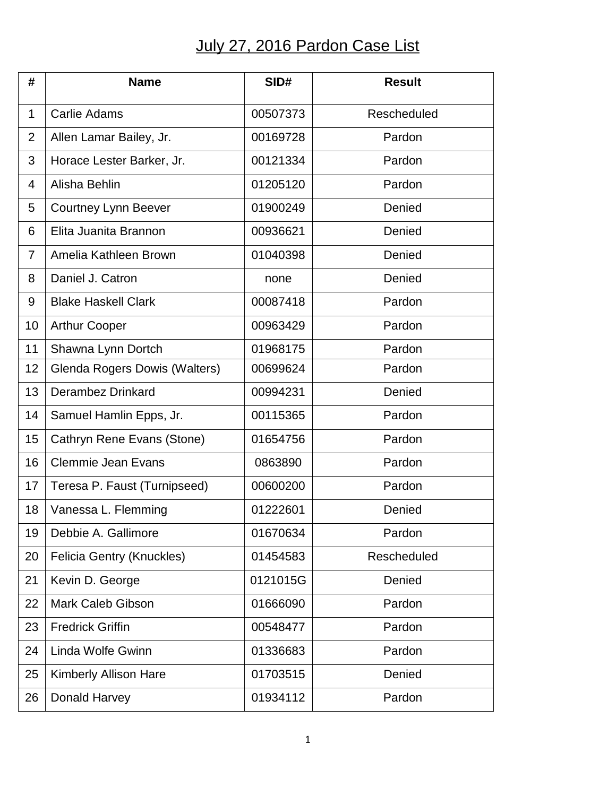## July 27, 2016 Pardon Case List

| #              | <b>Name</b>                      | SID#     | <b>Result</b> |
|----------------|----------------------------------|----------|---------------|
| $\mathbf{1}$   | <b>Carlie Adams</b>              | 00507373 | Rescheduled   |
| $\overline{2}$ | Allen Lamar Bailey, Jr.          | 00169728 | Pardon        |
| 3              | Horace Lester Barker, Jr.        | 00121334 | Pardon        |
| 4              | Alisha Behlin                    | 01205120 | Pardon        |
| 5              | <b>Courtney Lynn Beever</b>      | 01900249 | Denied        |
| 6              | Elita Juanita Brannon            | 00936621 | Denied        |
| 7              | Amelia Kathleen Brown            | 01040398 | Denied        |
| 8              | Daniel J. Catron                 | none     | Denied        |
| 9              | <b>Blake Haskell Clark</b>       | 00087418 | Pardon        |
| 10             | <b>Arthur Cooper</b>             | 00963429 | Pardon        |
| 11             | Shawna Lynn Dortch               | 01968175 | Pardon        |
| 12             | Glenda Rogers Dowis (Walters)    | 00699624 | Pardon        |
| 13             | <b>Derambez Drinkard</b>         | 00994231 | Denied        |
| 14             | Samuel Hamlin Epps, Jr.          | 00115365 | Pardon        |
| 15             | Cathryn Rene Evans (Stone)       | 01654756 | Pardon        |
| 16             | <b>Clemmie Jean Evans</b>        | 0863890  | Pardon        |
| 17             | Teresa P. Faust (Turnipseed)     | 00600200 | Pardon        |
| 18             | Vanessa L. Flemming              | 01222601 | Denied        |
| 19             | Debbie A. Gallimore              | 01670634 | Pardon        |
| 20             | <b>Felicia Gentry (Knuckles)</b> | 01454583 | Rescheduled   |
| 21             | Kevin D. George                  | 0121015G | Denied        |
| 22             | <b>Mark Caleb Gibson</b>         | 01666090 | Pardon        |
| 23             | <b>Fredrick Griffin</b>          | 00548477 | Pardon        |
| 24             | Linda Wolfe Gwinn                | 01336683 | Pardon        |
| 25             | <b>Kimberly Allison Hare</b>     | 01703515 | Denied        |
| 26             | Donald Harvey                    | 01934112 | Pardon        |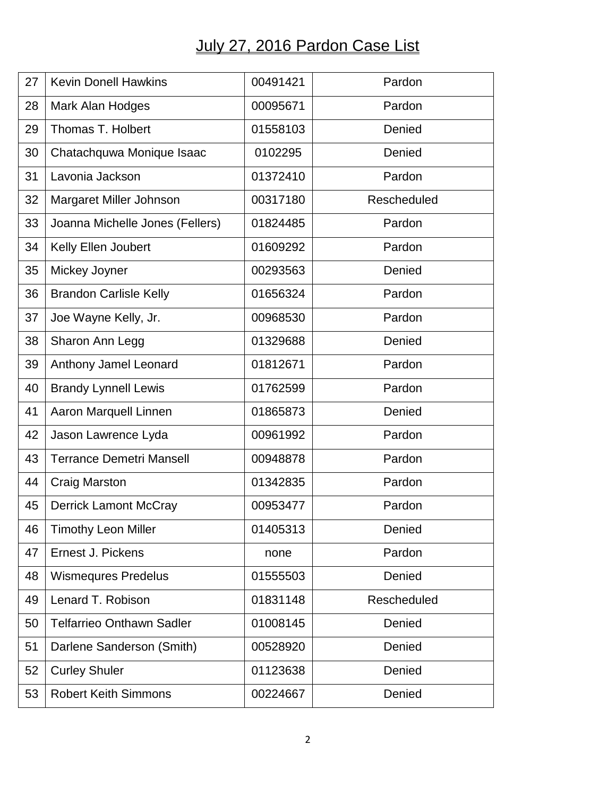## July 27, 2016 Pardon Case List

| 27 | <b>Kevin Donell Hawkins</b>      | 00491421 | Pardon      |
|----|----------------------------------|----------|-------------|
| 28 | Mark Alan Hodges                 | 00095671 | Pardon      |
| 29 | Thomas T. Holbert                | 01558103 | Denied      |
| 30 | Chatachquwa Monique Isaac        | 0102295  | Denied      |
| 31 | Lavonia Jackson                  | 01372410 | Pardon      |
| 32 | Margaret Miller Johnson          | 00317180 | Rescheduled |
| 33 | Joanna Michelle Jones (Fellers)  | 01824485 | Pardon      |
| 34 | Kelly Ellen Joubert              | 01609292 | Pardon      |
| 35 | Mickey Joyner                    | 00293563 | Denied      |
| 36 | <b>Brandon Carlisle Kelly</b>    | 01656324 | Pardon      |
| 37 | Joe Wayne Kelly, Jr.             | 00968530 | Pardon      |
| 38 | Sharon Ann Legg                  | 01329688 | Denied      |
| 39 | Anthony Jamel Leonard            | 01812671 | Pardon      |
| 40 | <b>Brandy Lynnell Lewis</b>      | 01762599 | Pardon      |
| 41 | Aaron Marquell Linnen            | 01865873 | Denied      |
| 42 | Jason Lawrence Lyda              | 00961992 | Pardon      |
| 43 | <b>Terrance Demetri Mansell</b>  | 00948878 | Pardon      |
| 44 | <b>Craig Marston</b>             | 01342835 | Pardon      |
| 45 | <b>Derrick Lamont McCray</b>     | 00953477 | Pardon      |
| 46 | <b>Timothy Leon Miller</b>       | 01405313 | Denied      |
| 47 | Ernest J. Pickens                | none     | Pardon      |
| 48 | <b>Wismequres Predelus</b>       | 01555503 | Denied      |
| 49 | Lenard T. Robison                | 01831148 | Rescheduled |
| 50 | <b>Telfarrieo Onthawn Sadler</b> | 01008145 | Denied      |
| 51 | Darlene Sanderson (Smith)        | 00528920 | Denied      |
| 52 | <b>Curley Shuler</b>             | 01123638 | Denied      |
| 53 | <b>Robert Keith Simmons</b>      | 00224667 | Denied      |